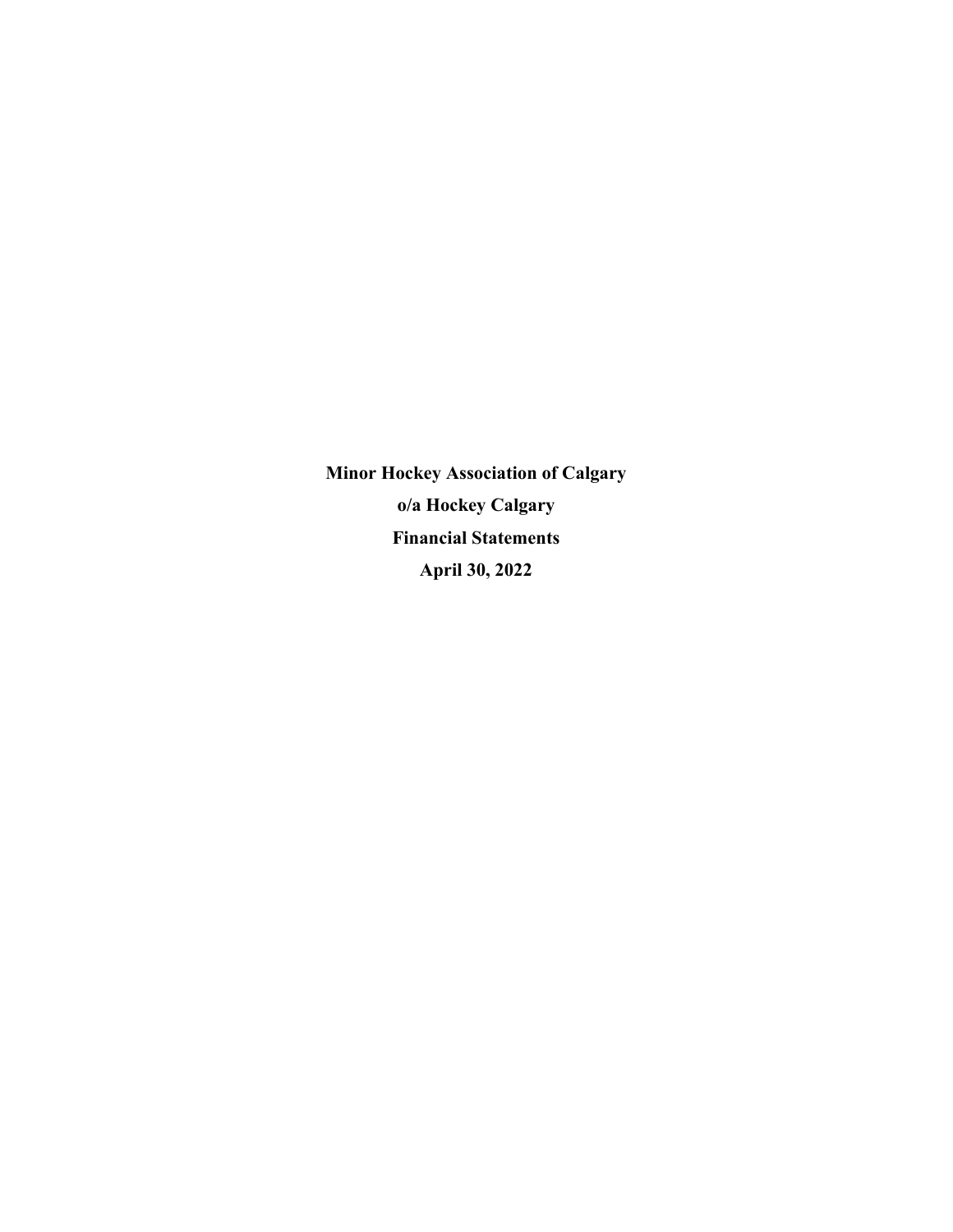**Minor Hockey Association of Calgary o/a Hockey Calgary Financial Statements April 30, 2022**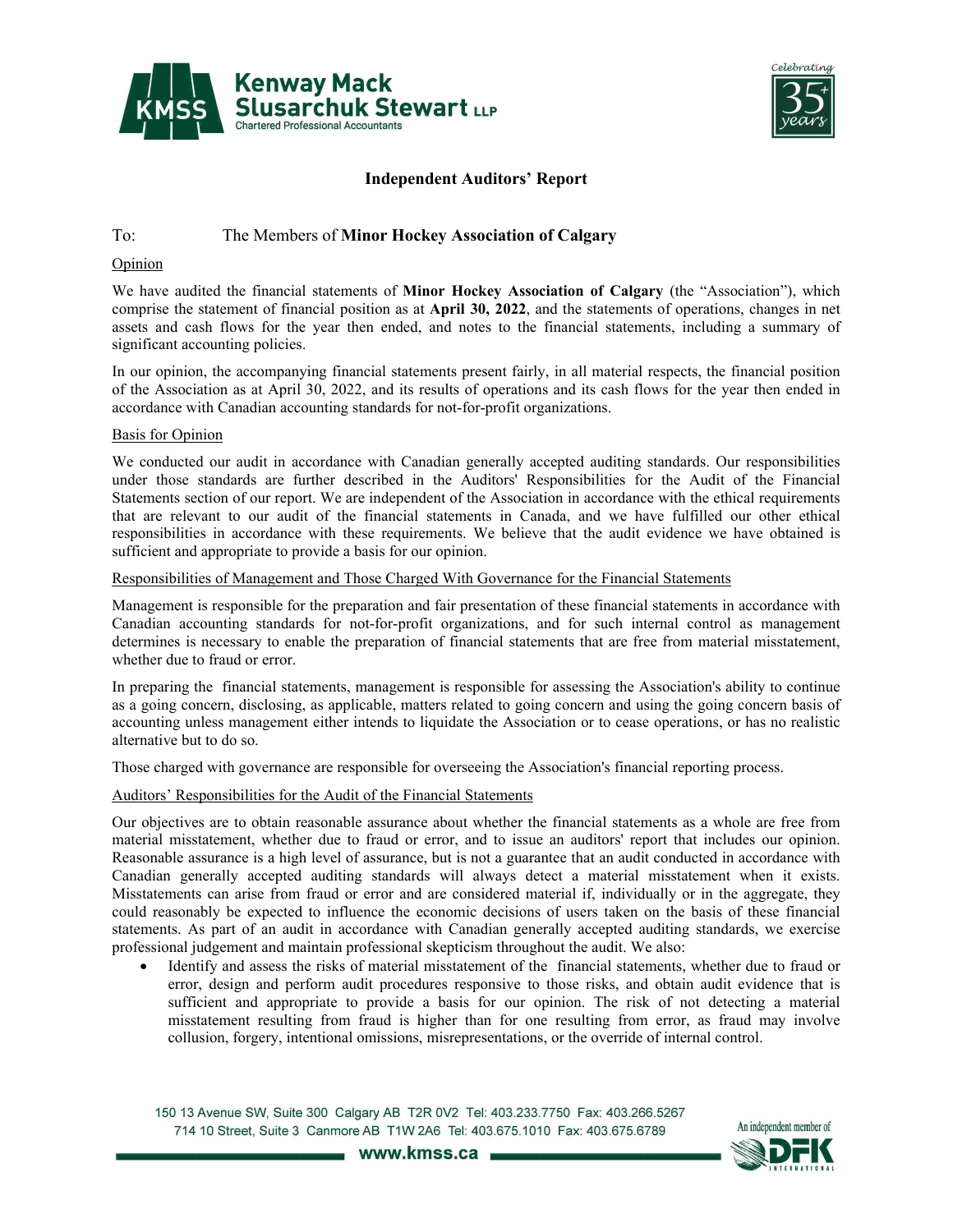



### **Independent Auditors' Report**

# To: The Members of **Minor Hockey Association of Calgary**

#### Opinion

We have audited the financial statements of **Minor Hockey Association of Calgary** (the "Association"), which comprise the statement of financial position as at **April 30, 2022**, and the statements of operations, changes in net assets and cash flows for the year then ended, and notes to the financial statements, including a summary of significant accounting policies.

In our opinion, the accompanying financial statements present fairly, in all material respects, the financial position of the Association as at April 30, 2022, and its results of operations and its cash flows for the year then ended in accordance with Canadian accounting standards for not-for-profit organizations.

#### Basis for Opinion

We conducted our audit in accordance with Canadian generally accepted auditing standards. Our responsibilities under those standards are further described in the Auditors' Responsibilities for the Audit of the Financial Statements section of our report. We are independent of the Association in accordance with the ethical requirements that are relevant to our audit of the financial statements in Canada, and we have fulfilled our other ethical responsibilities in accordance with these requirements. We believe that the audit evidence we have obtained is sufficient and appropriate to provide a basis for our opinion.

#### Responsibilities of Management and Those Charged With Governance for the Financial Statements

Management is responsible for the preparation and fair presentation of these financial statements in accordance with Canadian accounting standards for not-for-profit organizations, and for such internal control as management determines is necessary to enable the preparation of financial statements that are free from material misstatement, whether due to fraud or error.

In preparing the financial statements, management is responsible for assessing the Association's ability to continue as a going concern, disclosing, as applicable, matters related to going concern and using the going concern basis of accounting unless management either intends to liquidate the Association or to cease operations, or has no realistic alternative but to do so.

Those charged with governance are responsible for overseeing the Association's financial reporting process.

### Auditors' Responsibilities for the Audit of the Financial Statements

Our objectives are to obtain reasonable assurance about whether the financial statements as a whole are free from material misstatement, whether due to fraud or error, and to issue an auditors' report that includes our opinion. Reasonable assurance is a high level of assurance, but is not a guarantee that an audit conducted in accordance with Canadian generally accepted auditing standards will always detect a material misstatement when it exists. Misstatements can arise from fraud or error and are considered material if, individually or in the aggregate, they could reasonably be expected to influence the economic decisions of users taken on the basis of these financial statements. As part of an audit in accordance with Canadian generally accepted auditing standards, we exercise professional judgement and maintain professional skepticism throughout the audit. We also:

 Identify and assess the risks of material misstatement of the financial statements, whether due to fraud or error, design and perform audit procedures responsive to those risks, and obtain audit evidence that is sufficient and appropriate to provide a basis for our opinion. The risk of not detecting a material misstatement resulting from fraud is higher than for one resulting from error, as fraud may involve collusion, forgery, intentional omissions, misrepresentations, or the override of internal control.

150 13 Avenue SW, Suite 300 Calgary AB T2R 0V2 Tel: 403.233.7750 Fax: 403.266.5267 714 10 Street, Suite 3 Canmore AB T1W 2A6 Tel: 403.675.1010 Fax: 403.675.6789



www.kmss.ca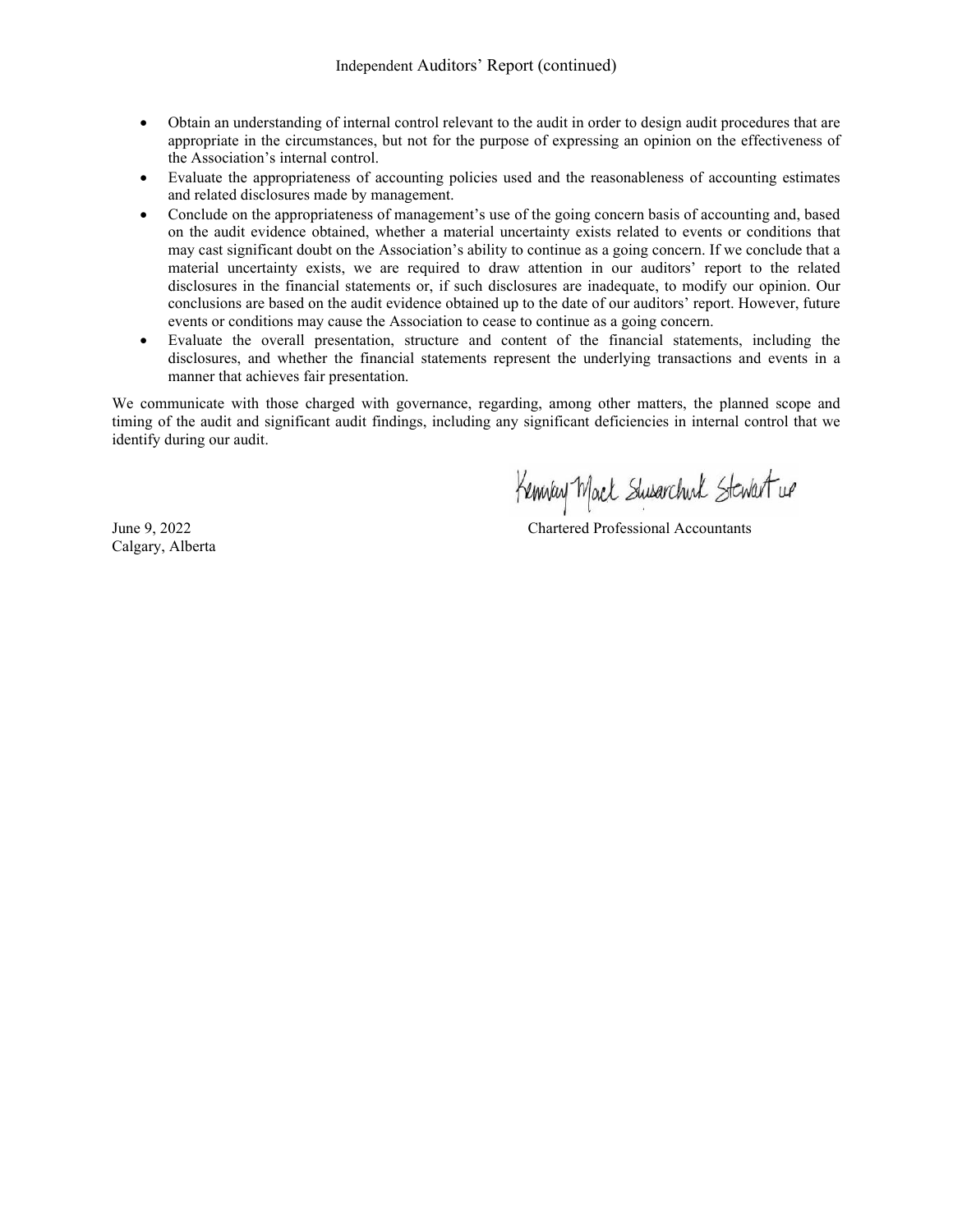- Obtain an understanding of internal control relevant to the audit in order to design audit procedures that are appropriate in the circumstances, but not for the purpose of expressing an opinion on the effectiveness of the Association's internal control.
- Evaluate the appropriateness of accounting policies used and the reasonableness of accounting estimates and related disclosures made by management.
- Conclude on the appropriateness of management's use of the going concern basis of accounting and, based on the audit evidence obtained, whether a material uncertainty exists related to events or conditions that may cast significant doubt on the Association's ability to continue as a going concern. If we conclude that a material uncertainty exists, we are required to draw attention in our auditors' report to the related disclosures in the financial statements or, if such disclosures are inadequate, to modify our opinion. Our conclusions are based on the audit evidence obtained up to the date of our auditors' report. However, future events or conditions may cause the Association to cease to continue as a going concern.
- Evaluate the overall presentation, structure and content of the financial statements, including the disclosures, and whether the financial statements represent the underlying transactions and events in a manner that achieves fair presentation.

We communicate with those charged with governance, regarding, among other matters, the planned scope and timing of the audit and significant audit findings, including any significant deficiencies in internal control that we identify during our audit.

Kennley Mack Shusarchuck Stewart up

June 9, 2022 Chartered Professional Accountants

Calgary, Alberta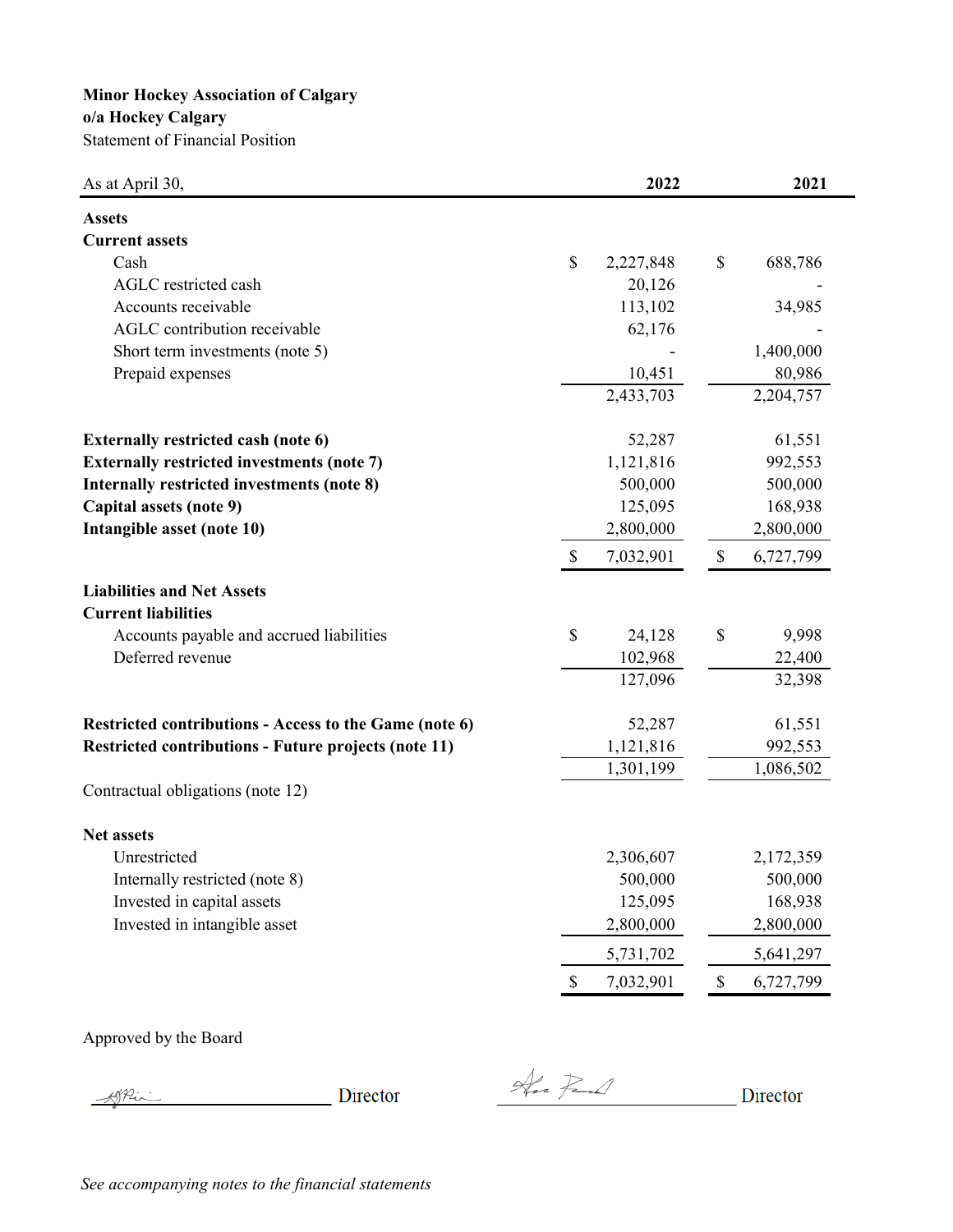**Minor Hockey Association of Calgary**

**o/a Hockey Calgary**

Statement of Financial Position

| As at April 30,                                                 |                           | 2022      |             | 2021      |
|-----------------------------------------------------------------|---------------------------|-----------|-------------|-----------|
| <b>Assets</b>                                                   |                           |           |             |           |
| <b>Current assets</b>                                           |                           |           |             |           |
| Cash                                                            | $\mathbb{S}$              | 2,227,848 | \$          | 688,786   |
| AGLC restricted cash                                            |                           | 20,126    |             |           |
| Accounts receivable                                             |                           | 113,102   |             | 34,985    |
| AGLC contribution receivable                                    |                           | 62,176    |             |           |
| Short term investments (note 5)                                 |                           |           |             | 1,400,000 |
| Prepaid expenses                                                |                           | 10,451    |             | 80,986    |
|                                                                 |                           | 2,433,703 |             | 2,204,757 |
| Externally restricted cash (note 6)                             |                           | 52,287    |             | 61,551    |
| <b>Externally restricted investments (note 7)</b>               |                           | 1,121,816 |             | 992,553   |
| Internally restricted investments (note 8)                      |                           | 500,000   |             | 500,000   |
| Capital assets (note 9)                                         |                           | 125,095   |             | 168,938   |
| Intangible asset (note 10)                                      |                           | 2,800,000 |             | 2,800,000 |
|                                                                 | $\boldsymbol{\mathsf{S}}$ | 7,032,901 | $\mathbb S$ | 6,727,799 |
| <b>Liabilities and Net Assets</b><br><b>Current liabilities</b> |                           |           |             |           |
| Accounts payable and accrued liabilities                        | \$                        | 24,128    | \$          | 9,998     |
| Deferred revenue                                                |                           | 102,968   |             | 22,400    |
|                                                                 |                           | 127,096   |             | 32,398    |
| Restricted contributions - Access to the Game (note 6)          |                           | 52,287    |             | 61,551    |
| <b>Restricted contributions - Future projects (note 11)</b>     |                           | 1,121,816 |             | 992,553   |
|                                                                 |                           | 1,301,199 |             | 1,086,502 |
| Contractual obligations (note 12)                               |                           |           |             |           |
| <b>Net assets</b>                                               |                           |           |             |           |
| Unrestricted                                                    |                           | 2,306,607 |             | 2,172,359 |
| Internally restricted (note 8)                                  |                           | 500,000   |             | 500,000   |
| Invested in capital assets                                      |                           | 125,095   |             | 168,938   |
| Invested in intangible asset                                    |                           | 2,800,000 |             | 2,800,000 |
|                                                                 |                           | 5,731,702 |             | 5,641,297 |
|                                                                 | $\boldsymbol{\mathsf{S}}$ | 7,032,901 | $\mathbb S$ | 6,727,799 |

# Approved by the Board

APRin

**Director** 

 $\frac{1}{2}$ 

Director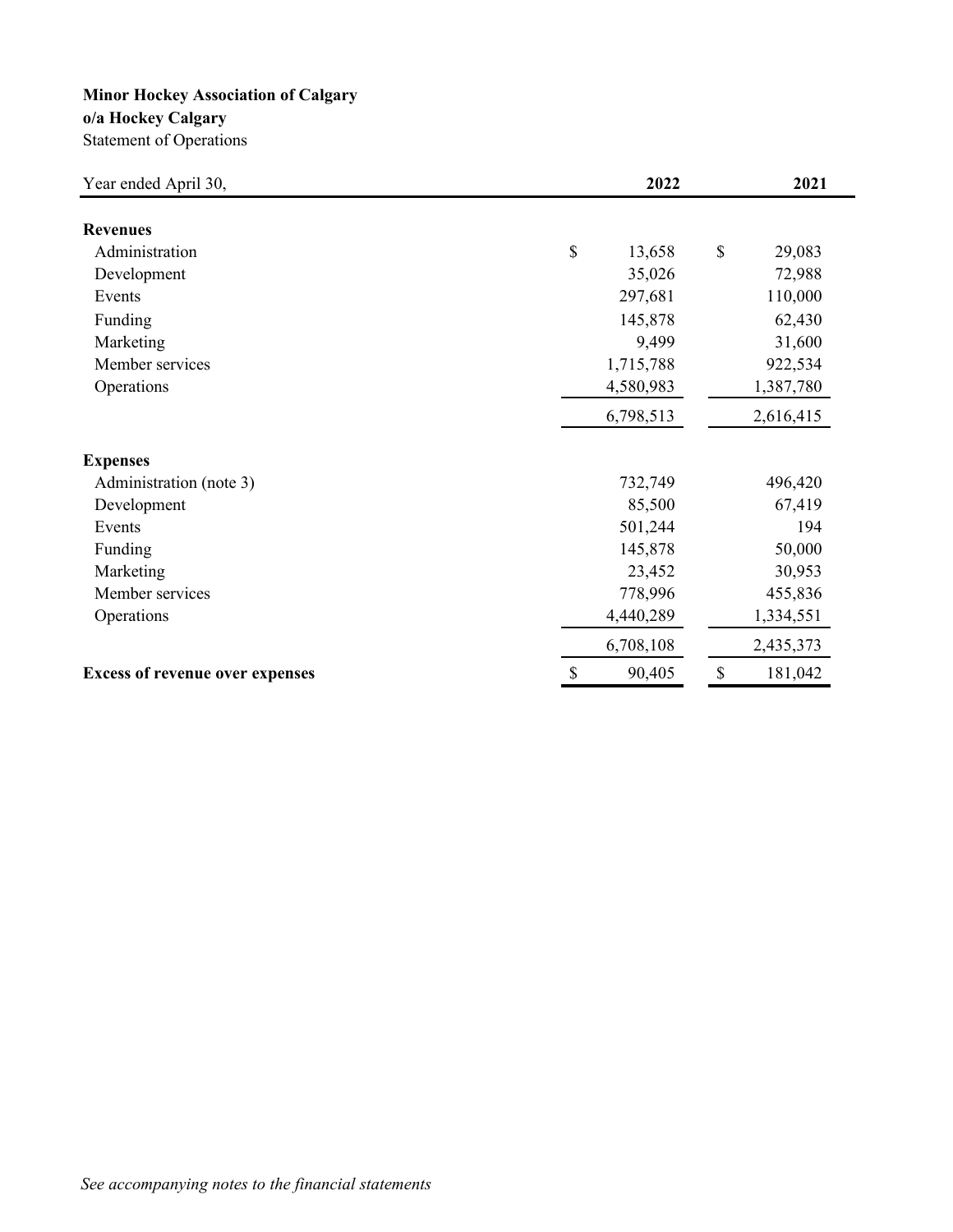Statement of Operations

| Year ended April 30,<br>2022           |    |           |                           | 2021      |
|----------------------------------------|----|-----------|---------------------------|-----------|
| <b>Revenues</b>                        |    |           |                           |           |
| Administration                         | \$ | 13,658    | $\mathbb{S}$              | 29,083    |
| Development                            |    | 35,026    |                           | 72,988    |
| Events                                 |    | 297,681   |                           | 110,000   |
| Funding                                |    | 145,878   |                           | 62,430    |
| Marketing                              |    | 9,499     |                           | 31,600    |
| Member services                        |    | 1,715,788 |                           | 922,534   |
| Operations                             |    | 4,580,983 |                           | 1,387,780 |
|                                        |    | 6,798,513 |                           | 2,616,415 |
| <b>Expenses</b>                        |    |           |                           |           |
| Administration (note 3)                |    | 732,749   |                           | 496,420   |
| Development                            |    | 85,500    |                           | 67,419    |
| Events                                 |    | 501,244   |                           | 194       |
| Funding                                |    | 145,878   |                           | 50,000    |
| Marketing                              |    | 23,452    |                           | 30,953    |
| Member services                        |    | 778,996   |                           | 455,836   |
| Operations                             |    | 4,440,289 |                           | 1,334,551 |
|                                        |    | 6,708,108 |                           | 2,435,373 |
| <b>Excess of revenue over expenses</b> | \$ | 90,405    | $\boldsymbol{\mathsf{S}}$ | 181,042   |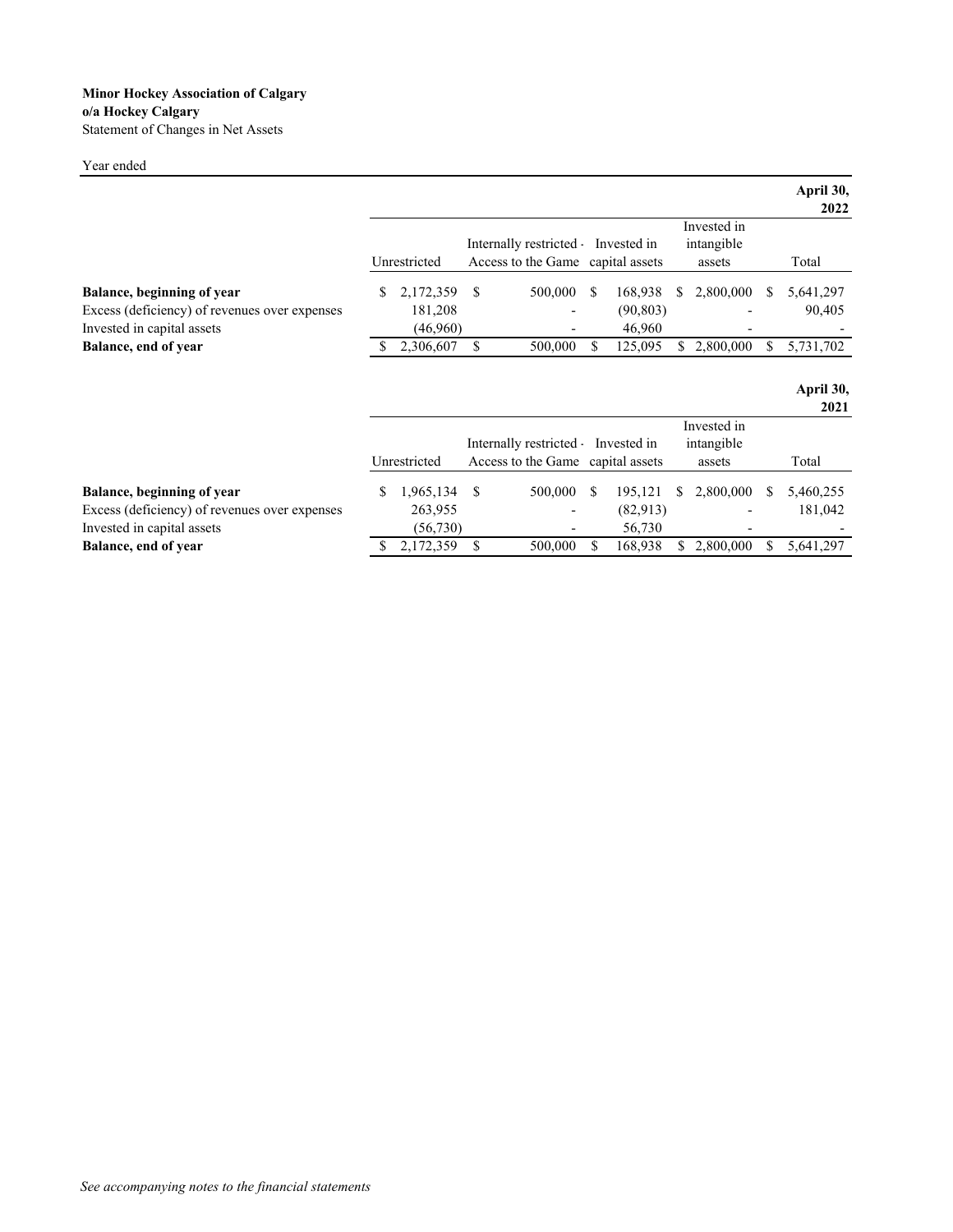#### **Minor Hockey Association of Calgary o/a Hockey Calgary** Statement of Changes in Net Assets

#### Year ended

|                                               |   |              |    |                                                              |   |             |    |                      |   | April 30,<br>2022 |
|-----------------------------------------------|---|--------------|----|--------------------------------------------------------------|---|-------------|----|----------------------|---|-------------------|
|                                               |   |              |    |                                                              |   |             |    | Invested in          |   |                   |
|                                               |   | Unrestricted |    | Internally restricted -<br>Access to the Game capital assets |   | Invested in |    | intangible<br>assets |   | Total             |
| Balance, beginning of year                    | S | 2,172,359    | S. | 500,000                                                      | S | 168,938     | S. | 2,800,000            | S | 5,641,297         |
| Excess (deficiency) of revenues over expenses |   | 181,208      |    |                                                              |   | (90, 803)   |    |                      |   | 90,405            |
| Invested in capital assets                    |   | (46,960)     |    |                                                              |   | 46,960      |    |                      |   |                   |
| Balance, end of year                          |   | 2,306,607    | S  | 500,000                                                      |   | 125,095     | S. | 2,800,000            | S | 5,731,702         |
|                                               |   |              |    |                                                              |   |             |    |                      |   | April 30,<br>2021 |
|                                               |   |              |    |                                                              |   |             |    | Invested in          |   |                   |

|                                               | Unrestricted   | Internally restricted Invested in<br>Access to the Game capital assets |          | intangible<br>assets    | Total     |
|-----------------------------------------------|----------------|------------------------------------------------------------------------|----------|-------------------------|-----------|
| Balance, beginning of year                    | $1,965,134$ \$ | 500,000                                                                |          | 195,121 \$ 2,800,000 \$ | 5,460,255 |
| Excess (deficiency) of revenues over expenses | 263,955        |                                                                        | (82,913) |                         | 181,042   |
| Invested in capital assets                    | (56, 730)      | $\overline{\phantom{0}}$                                               | 56,730   |                         |           |
| Balance, end of year                          | 2,172,359      | 500,000                                                                | 168.938  | 2.800,000               | 5.641.297 |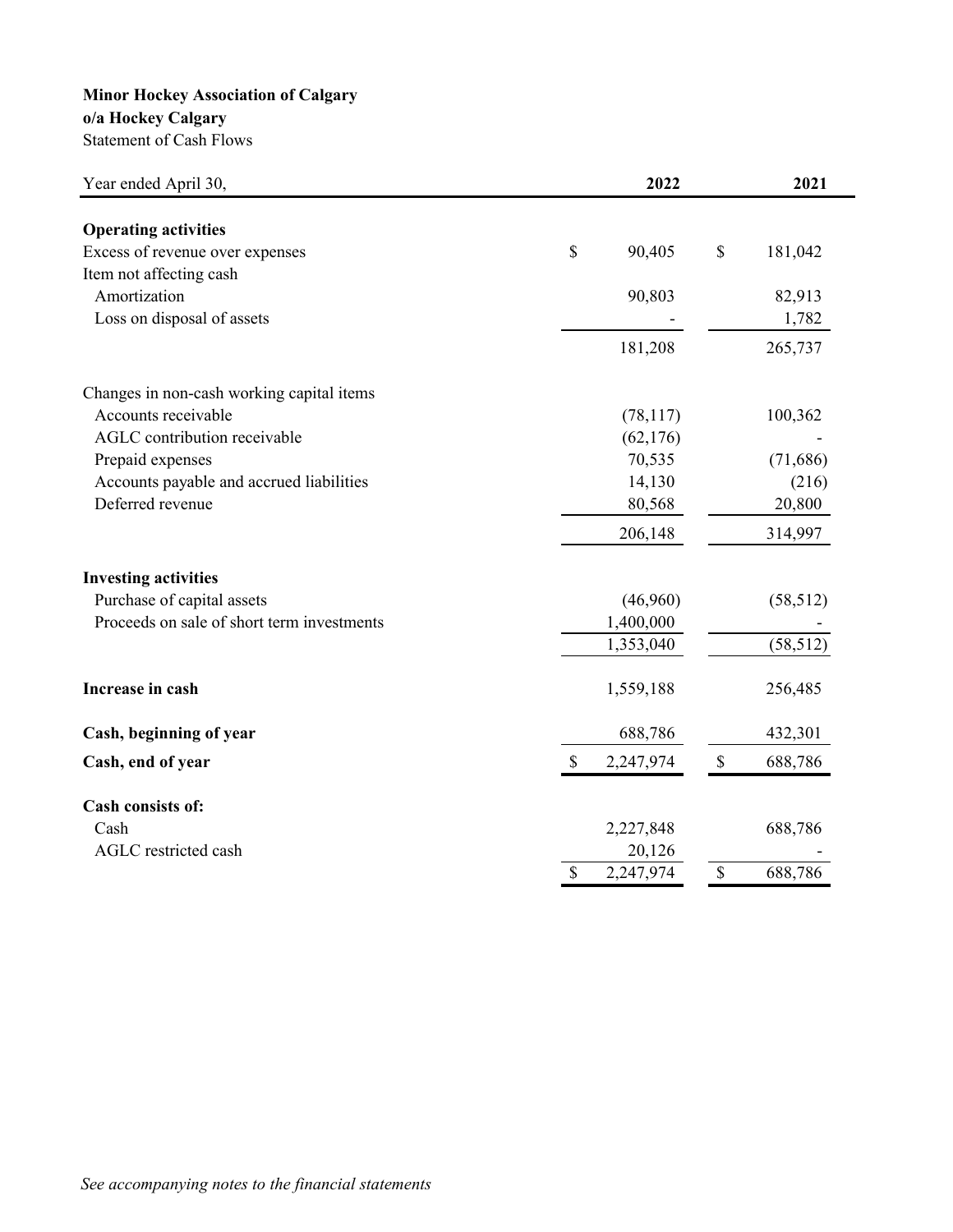# **Minor Hockey Association of Calgary**

# **o/a Hockey Calgary**

Statement of Cash Flows

| Year ended April 30,                       |              | 2022      |              | 2021      |
|--------------------------------------------|--------------|-----------|--------------|-----------|
| <b>Operating activities</b>                |              |           |              |           |
| Excess of revenue over expenses            | \$           | 90,405    | $\mathbb{S}$ | 181,042   |
| Item not affecting cash                    |              |           |              |           |
| Amortization                               |              | 90,803    |              | 82,913    |
| Loss on disposal of assets                 |              |           |              | 1,782     |
|                                            |              |           |              |           |
|                                            |              | 181,208   |              | 265,737   |
| Changes in non-cash working capital items  |              |           |              |           |
| Accounts receivable                        |              | (78, 117) |              | 100,362   |
| AGLC contribution receivable               |              | (62, 176) |              |           |
| Prepaid expenses                           |              | 70,535    |              | (71, 686) |
| Accounts payable and accrued liabilities   |              | 14,130    |              | (216)     |
| Deferred revenue                           |              | 80,568    |              | 20,800    |
|                                            |              | 206,148   |              | 314,997   |
| <b>Investing activities</b>                |              |           |              |           |
| Purchase of capital assets                 |              | (46,960)  |              | (58, 512) |
| Proceeds on sale of short term investments |              | 1,400,000 |              |           |
|                                            |              | 1,353,040 |              | (58, 512) |
| Increase in cash                           |              | 1,559,188 |              | 256,485   |
| Cash, beginning of year                    |              | 688,786   |              | 432,301   |
| Cash, end of year                          | $\mathbb{S}$ | 2,247,974 | $\mathbb{S}$ | 688,786   |
| Cash consists of:                          |              |           |              |           |
| Cash                                       |              | 2,227,848 |              | 688,786   |
| AGLC restricted cash                       |              | 20,126    |              |           |
|                                            | $\$$         | 2,247,974 | $\mathbb S$  | 688,786   |
|                                            |              |           |              |           |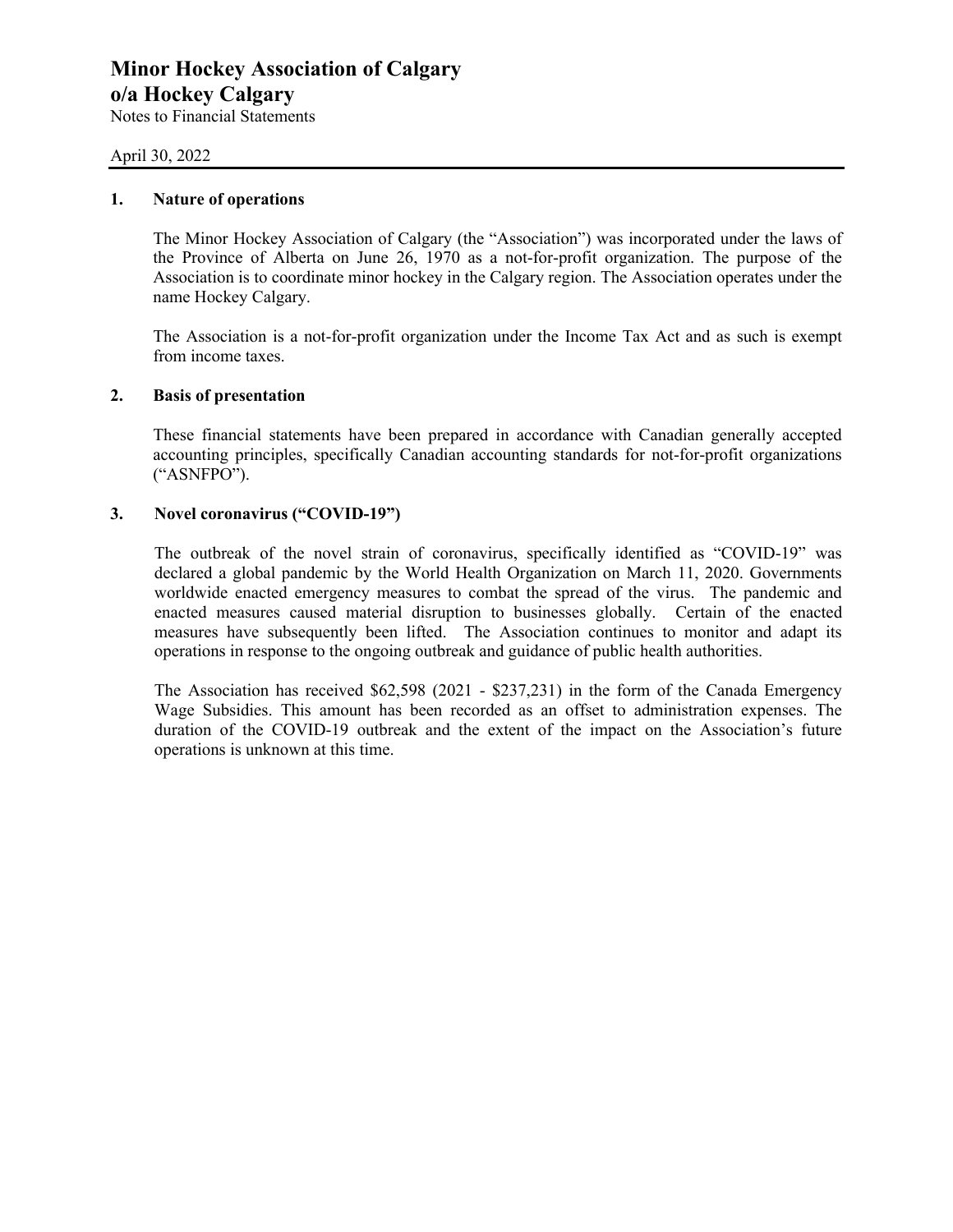Notes to Financial Statements

### April 30, 2022

### **1. Nature of operations**

The Minor Hockey Association of Calgary (the "Association") was incorporated under the laws of the Province of Alberta on June 26, 1970 as a not-for-profit organization. The purpose of the Association is to coordinate minor hockey in the Calgary region. The Association operates under the name Hockey Calgary.

The Association is a not-for-profit organization under the Income Tax Act and as such is exempt from income taxes.

### **2. Basis of presentation**

These financial statements have been prepared in accordance with Canadian generally accepted accounting principles, specifically Canadian accounting standards for not-for-profit organizations ("ASNFPO").

# **3. Novel coronavirus ("COVID-19")**

The outbreak of the novel strain of coronavirus, specifically identified as "COVID-19" was declared a global pandemic by the World Health Organization on March 11, 2020. Governments worldwide enacted emergency measures to combat the spread of the virus. The pandemic and enacted measures caused material disruption to businesses globally. Certain of the enacted measures have subsequently been lifted. The Association continues to monitor and adapt its operations in response to the ongoing outbreak and guidance of public health authorities.

The Association has received \$62,598 (2021 - \$237,231) in the form of the Canada Emergency Wage Subsidies. This amount has been recorded as an offset to administration expenses. The duration of the COVID-19 outbreak and the extent of the impact on the Association's future operations is unknown at this time.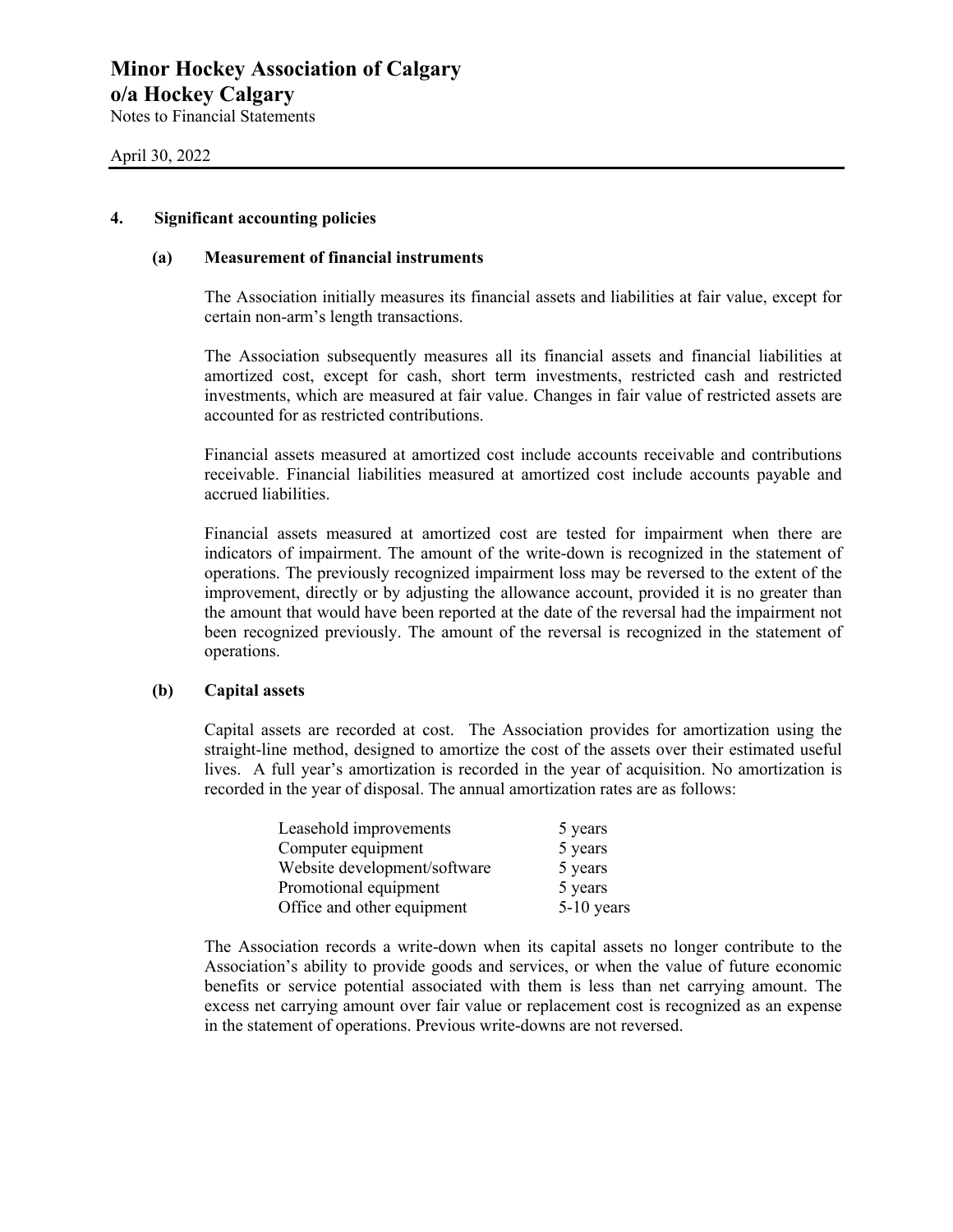Notes to Financial Statements

# **4. Significant accounting policies**

### **(a) Measurement of financial instruments**

The Association initially measures its financial assets and liabilities at fair value, except for certain non-arm's length transactions.

The Association subsequently measures all its financial assets and financial liabilities at amortized cost, except for cash, short term investments, restricted cash and restricted investments, which are measured at fair value. Changes in fair value of restricted assets are accounted for as restricted contributions.

Financial assets measured at amortized cost include accounts receivable and contributions receivable. Financial liabilities measured at amortized cost include accounts payable and accrued liabilities.

Financial assets measured at amortized cost are tested for impairment when there are indicators of impairment. The amount of the write-down is recognized in the statement of operations. The previously recognized impairment loss may be reversed to the extent of the improvement, directly or by adjusting the allowance account, provided it is no greater than the amount that would have been reported at the date of the reversal had the impairment not been recognized previously. The amount of the reversal is recognized in the statement of operations.

# **(b) Capital assets**

Capital assets are recorded at cost. The Association provides for amortization using the straight-line method, designed to amortize the cost of the assets over their estimated useful lives. A full year's amortization is recorded in the year of acquisition. No amortization is recorded in the year of disposal. The annual amortization rates are as follows:

| Leasehold improvements       | 5 years      |
|------------------------------|--------------|
| Computer equipment           | 5 years      |
| Website development/software | 5 years      |
| Promotional equipment        | 5 years      |
| Office and other equipment   | $5-10$ years |

The Association records a write-down when its capital assets no longer contribute to the Association's ability to provide goods and services, or when the value of future economic benefits or service potential associated with them is less than net carrying amount. The excess net carrying amount over fair value or replacement cost is recognized as an expense in the statement of operations. Previous write-downs are not reversed.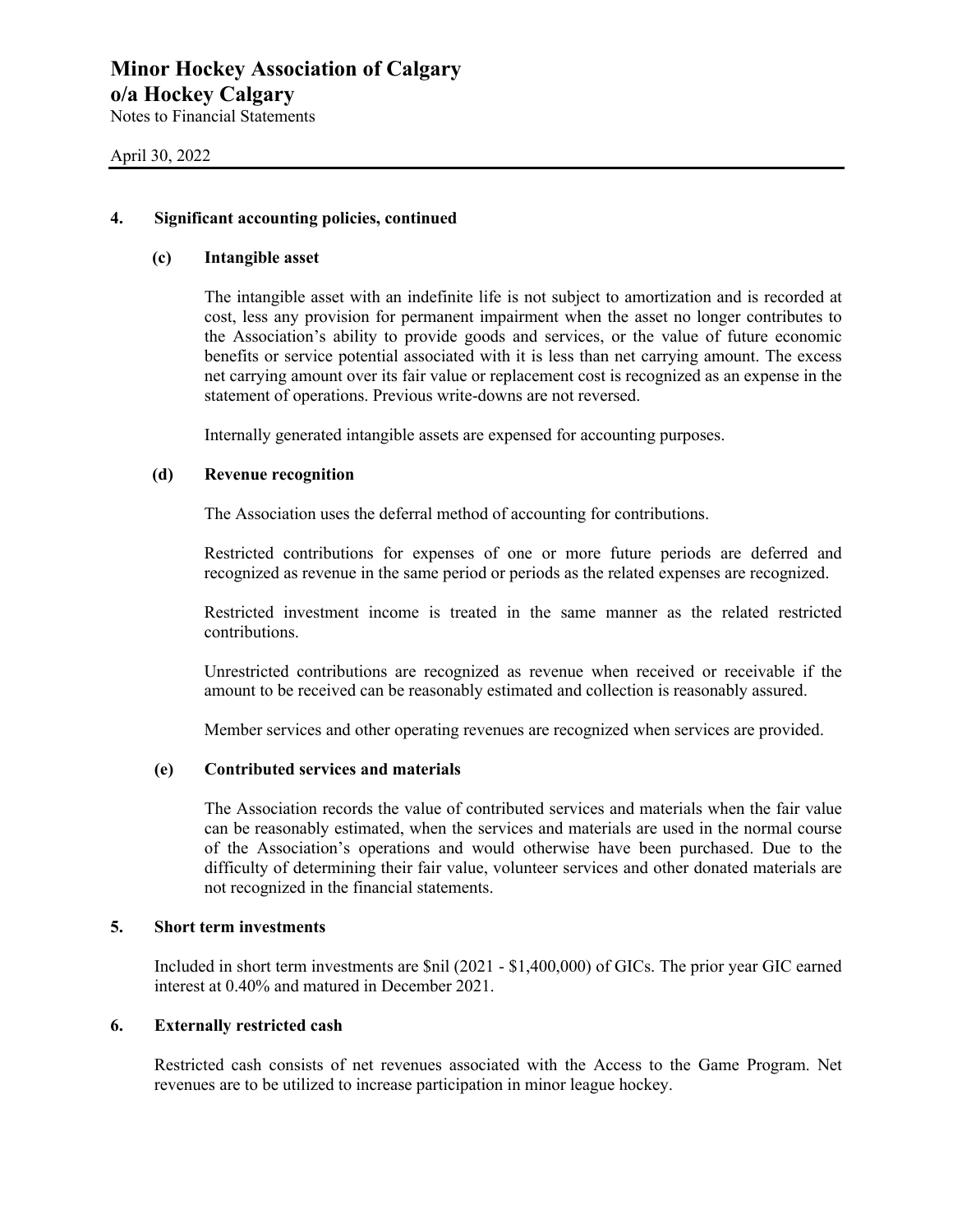Notes to Financial Statements

# **4. Significant accounting policies, continued**

# **(c) Intangible asset**

The intangible asset with an indefinite life is not subject to amortization and is recorded at cost, less any provision for permanent impairment when the asset no longer contributes to the Association's ability to provide goods and services, or the value of future economic benefits or service potential associated with it is less than net carrying amount. The excess net carrying amount over its fair value or replacement cost is recognized as an expense in the statement of operations. Previous write-downs are not reversed.

Internally generated intangible assets are expensed for accounting purposes.

# **(d) Revenue recognition**

The Association uses the deferral method of accounting for contributions.

Restricted contributions for expenses of one or more future periods are deferred and recognized as revenue in the same period or periods as the related expenses are recognized.

Restricted investment income is treated in the same manner as the related restricted contributions.

Unrestricted contributions are recognized as revenue when received or receivable if the amount to be received can be reasonably estimated and collection is reasonably assured.

Member services and other operating revenues are recognized when services are provided.

# **(e) Contributed services and materials**

The Association records the value of contributed services and materials when the fair value can be reasonably estimated, when the services and materials are used in the normal course of the Association's operations and would otherwise have been purchased. Due to the difficulty of determining their fair value, volunteer services and other donated materials are not recognized in the financial statements.

# **5. Short term investments**

Included in short term investments are \$nil (2021 - \$1,400,000) of GICs. The prior year GIC earned interest at 0.40% and matured in December 2021.

# **6. Externally restricted cash**

Restricted cash consists of net revenues associated with the Access to the Game Program. Net revenues are to be utilized to increase participation in minor league hockey.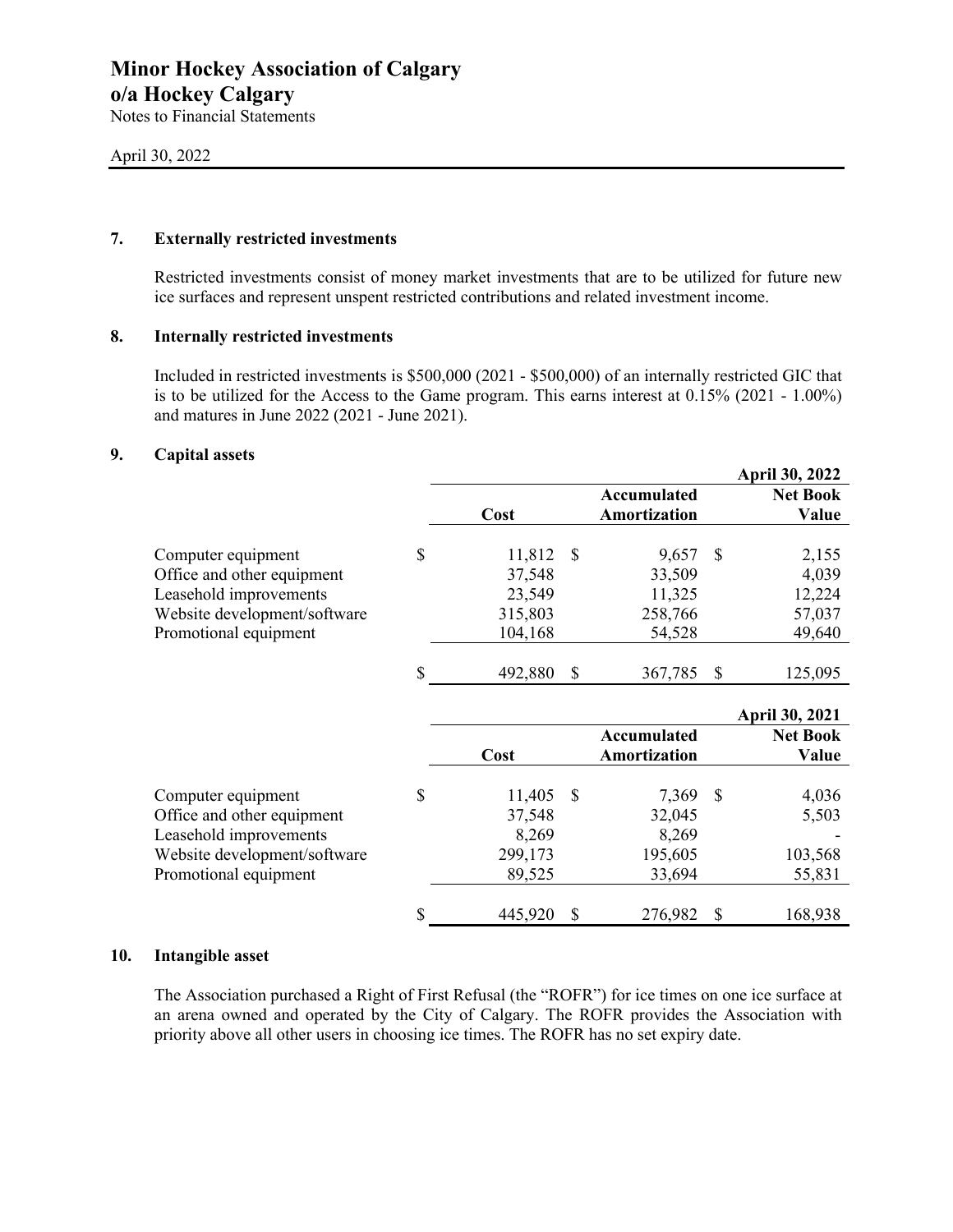Notes to Financial Statements

### **7. Externally restricted investments**

Restricted investments consist of money market investments that are to be utilized for future new ice surfaces and represent unspent restricted contributions and related investment income.

### **8. Internally restricted investments**

Included in restricted investments is \$500,000 (2021 - \$500,000) of an internally restricted GIC that is to be utilized for the Access to the Game program. This earns interest at 0.15% (2021 - 1.00%) and matures in June 2022 (2021 - June 2021).

### **9. Capital assets**

|                                                  |               |    |                                           |               | <b>April 30, 2022</b>    |
|--------------------------------------------------|---------------|----|-------------------------------------------|---------------|--------------------------|
|                                                  | Cost          |    | <b>Accumulated</b><br><b>Amortization</b> |               | <b>Net Book</b><br>Value |
| Computer equipment                               | \$<br>11,812  | S  | 9,657                                     | $\mathcal{S}$ | 2,155                    |
| Office and other equipment                       | 37,548        |    | 33,509                                    |               | 4,039                    |
| Leasehold improvements                           | 23,549        |    | 11,325                                    |               | 12,224                   |
| Website development/software                     | 315,803       |    | 258,766                                   |               | 57,037                   |
| Promotional equipment                            | 104,168       |    | 54,528                                    |               | 49,640                   |
|                                                  | \$<br>492,880 | \$ | 367,785                                   | \$            | 125,095                  |
|                                                  |               |    |                                           |               | <b>April 30, 2021</b>    |
|                                                  | Cost          |    | <b>Accumulated</b><br><b>Amortization</b> |               | <b>Net Book</b><br>Value |
|                                                  | \$<br>11,405  | \$ | 7,369                                     | \$            |                          |
| Computer equipment<br>Office and other equipment | 37,548        |    | 32,045                                    |               | 4,036                    |
| Leasehold improvements                           | 8,269         |    | 8,269                                     |               | 5,503                    |
| Website development/software                     | 299,173       |    | 195,605                                   |               | 103,568                  |
| Promotional equipment                            | 89,525        |    | 33,694                                    |               | 55,831                   |
|                                                  | \$<br>445,920 | \$ | 276,982                                   | \$            | 168,938                  |

### **10. Intangible asset**

The Association purchased a Right of First Refusal (the "ROFR") for ice times on one ice surface at an arena owned and operated by the City of Calgary. The ROFR provides the Association with priority above all other users in choosing ice times. The ROFR has no set expiry date.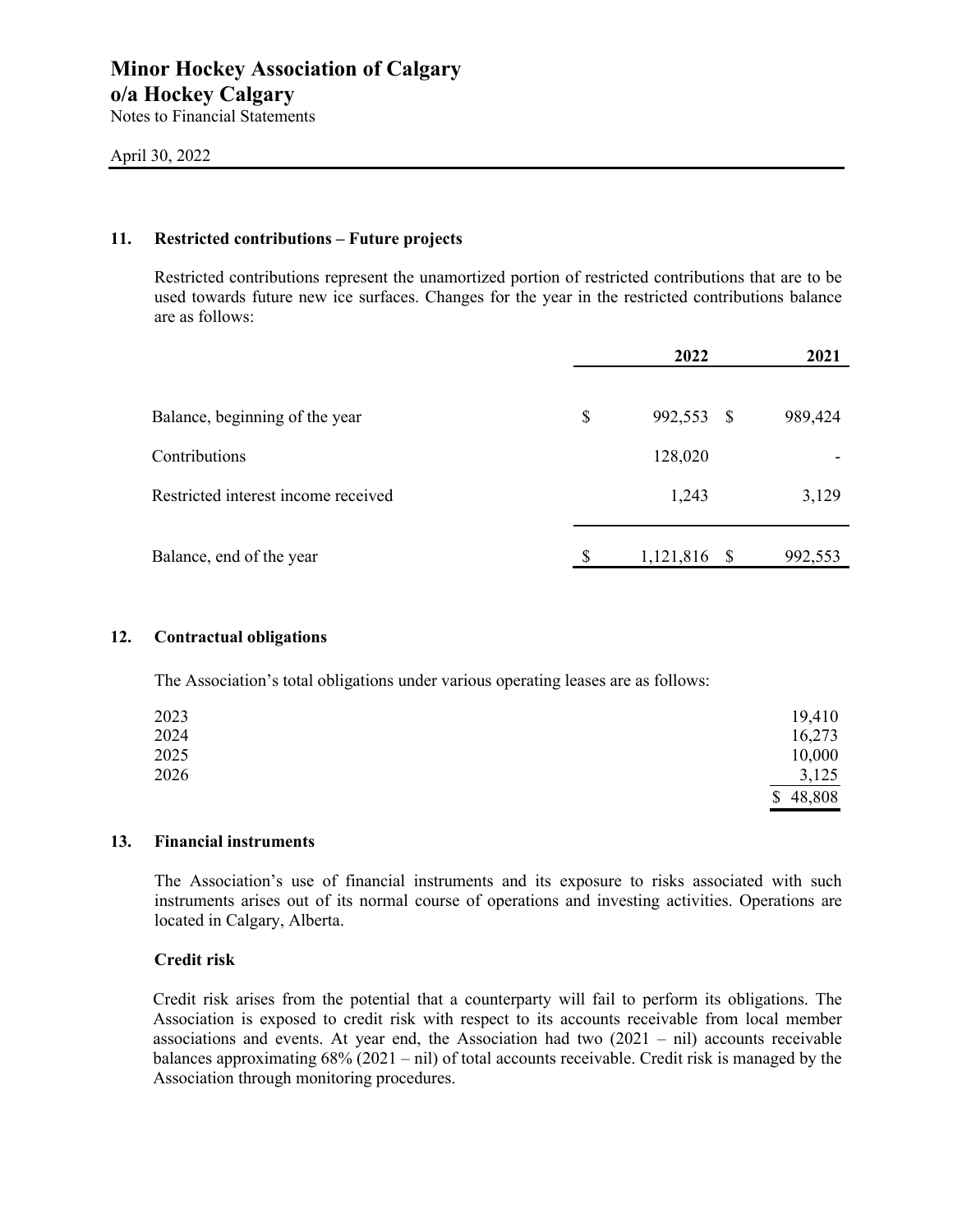Notes to Financial Statements

### **11. Restricted contributions – Future projects**

Restricted contributions represent the unamortized portion of restricted contributions that are to be used towards future new ice surfaces. Changes for the year in the restricted contributions balance are as follows:

|                                     |    | 2022         | 2021    |
|-------------------------------------|----|--------------|---------|
| Balance, beginning of the year      | \$ | 992,553 \$   | 989,424 |
| Contributions                       |    | 128,020      |         |
| Restricted interest income received |    | 1,243        | 3,129   |
| Balance, end of the year            | S  | 1,121,816 \$ | 992,553 |

# **12. Contractual obligations**

The Association's total obligations under various operating leases are as follows:

| 2023 | 19,410   |
|------|----------|
| 2024 | 16,273   |
| 2025 | 10,000   |
| 2026 | 3,125    |
|      | \$48,808 |

### **13. Financial instruments**

The Association's use of financial instruments and its exposure to risks associated with such instruments arises out of its normal course of operations and investing activities. Operations are located in Calgary, Alberta.

### **Credit risk**

Credit risk arises from the potential that a counterparty will fail to perform its obligations. The Association is exposed to credit risk with respect to its accounts receivable from local member associations and events. At year end, the Association had two  $(2021 - \text{nil})$  accounts receivable balances approximating 68% (2021 – nil) of total accounts receivable. Credit risk is managed by the Association through monitoring procedures.